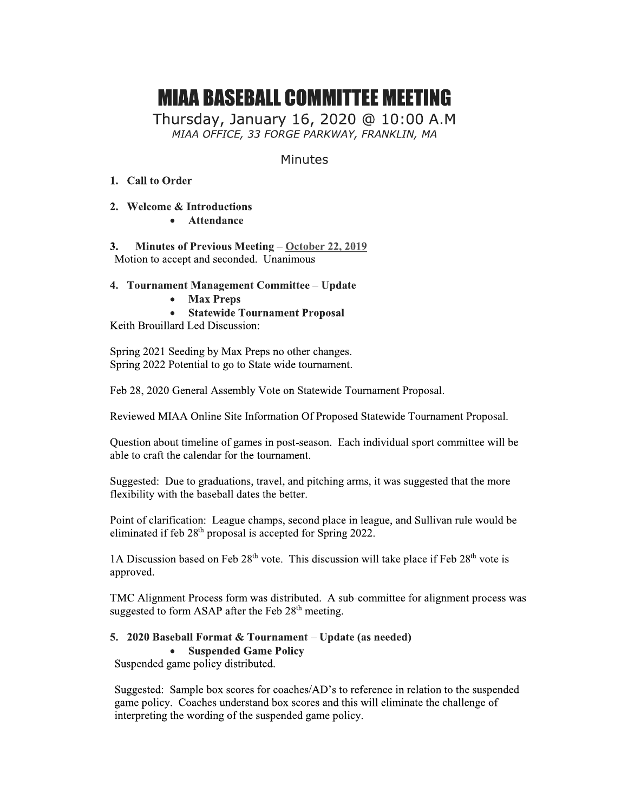# MIAA BASEBALL GUMMITTEE MEETING<br>Fi

Thursday, January 16, 2020 @ 10:00 A.M<br>MIAA OFFICE, 33 FORGE PARKWAY, FRANKLIN, MA **MIAA BASEBALL COMMITTEE MEETING**<br>
Thursday, January 16, 2020 @ 10:00 A.M<br> *MIAA OFFICE, 33 FORGE PARKWAY, FRANKLIN, MA*<br>
Minutes<br>
1. Call to Order<br>
2. Welcome & Introductions<br>
Attendance

# **Minutes**

- 1. Call to Order
- i. 2. Welcome & Introductions
	- Attendance

Ľ. 3. Minutes of Previous Meeting –  $October 22, 2019$ </u> Motion to accept and seconded. Unanimous

# 4. Tournament Management Committee - Update

- Max Preps
- Statewide Tournament Proposal

Keith Brouillard Led Discussion:

ili<br>Li Spring  $2021$  Seeding by Max Preps no other changes. Spring 2022 Potential to go to State wide tournament.

 Feb 28, 2020 General Assembly Vote on Statewide Tournament Proposal.

Ľ. Reviewed MIAA Online Site Information Of Proposed Statewide Tournament Proposal.

i. Question about timeline of games in post-season. Each individual sport committee will be able to craft the calendar for the tournament.

 $\mathcal{L}^{\mathcal{L}}$ Suggested: Due to graduations, travel, and pitching arms, it was suggested that the more flexibility with the baseball dates the better.

Point of clarification: League champs, second place in league, and Sullivan rule would be eliminated if feb  $28<sup>th</sup>$  proposal is accepted for Spring 2022.

1A Discussion based on Feb  $28^{\text{th}}$  vote. This discussion will take place if Feb  $28^{\text{th}}$  vote is approved.

 $\mathbb{R}$ TMC Alignment Process form was distributed. A sub-committee for alignment process was suggested to form ASAP after the Feb  $28<sup>th</sup>$  meeting.

# 5. 2020 Baseball Format & Tournament – Update (as needed)

# • Suspended Game Policy

Suspended game policy distributed.

 $\mathbb{R}^2$ Suggested: Sample box scores for coaches/AD's to reference in relation to the suspended game policy. Coaches understand box scores and this will eliminate the challenge of interpreting the wording of the suspended game policy.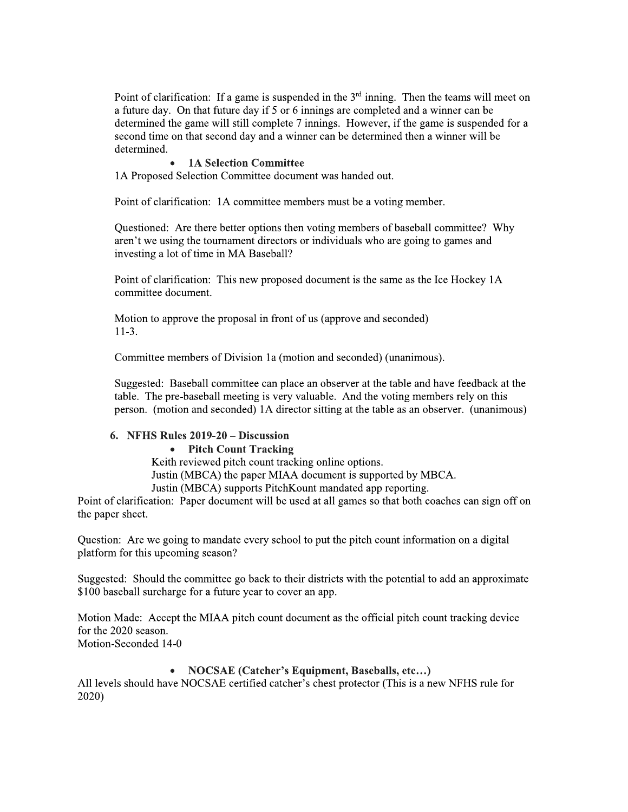Point of clarification: If a game is suspended in the  $3<sup>rd</sup>$  inning. Then the teams will meet on a future day. On that future day if 5 or 6 innings are completed and a winner can be determined the game will still complete 7 innings. However, if the game is suspended for a second time on that second day and a winner can be determined then a winner will be determined.

#### **1A Selection Committee**

1A Proposed Selection Committee document was handed out.

Point of clarification: 1A committee members must be a voting member.

Questioned: Are there better options then voting members of baseball committee? Why aren't we using the tournament directors or individuals who are going to games and investing a lot of time in MA Baseball?

Point of clarification: This new proposed document is the same as the Ice Hockey 1A committee document.

Motion to approve the proposal in front of us (approve and seconded)  $11-3.$ 

Committee members of Division 1a (motion and seconded) (unanimous).

Suggested: Baseball committee can place an observer at the table and have feedback at the table. The pre-baseball meeting is very valuable. And the voting members rely on this person. (motion and seconded) 1A director sitting at the table as an observer. (unanimous)

# 6. NFHS Rules 2019-20 - Discussion

#### • Pitch Count Tracking

Keith reviewed pitch count tracking online options.

Justin (MBCA) the paper MIAA document is supported by MBCA.

Justin (MBCA) supports Pitch Kount mandated app reporting.

Point of clarification: Paper document will be used at all games so that both coaches can sign off on the paper sheet.

Question: Are we going to mandate every school to put the pitch count information on a digital platform for this upcoming season?

Suggested: Should the committee go back to their districts with the potential to add an approximate \$100 baseball surcharge for a future year to cover an app.

Motion Made: Accept the MIAA pitch count document as the official pitch count tracking device for the 2020 season. Motion-Seconded 14-0

#### • NOCSAE (Catcher's Equipment, Baseballs, etc...)

All levels should have NOCSAE certified catcher's chest protector (This is a new NFHS rule for  $2020$